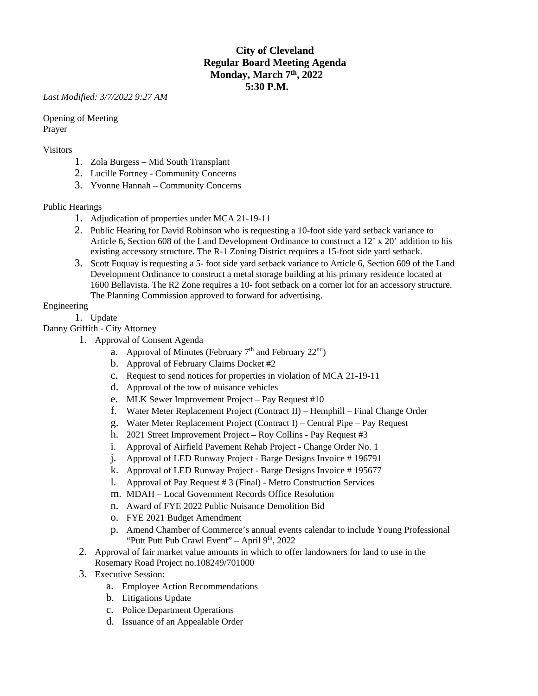# **City of Cleveland Regular Board Meeting Agenda Monday, March 7th, 2022 5:30 P.M.**

*Last Modified: 3/7/2022 9:27 AM*

Opening of Meeting Prayer

#### Visitors

- 1. Zola Burgess Mid South Transplant
- 2. Lucille Fortney Community Concerns
- 3. Yvonne Hannah Community Concerns

#### Public Hearings

- 1. Adjudication of properties under MCA 21-19-11
- 2. Public Hearing for David Robinson who is requesting a 10-foot side yard setback variance to Article 6, Section 608 of the Land Development Ordinance to construct a 12' x 20' addition to his existing accessory structure. The R-1 Zoning District requires a 15-foot side yard setback.
- 3. Scott Fuquay is requesting a 5- foot side yard setback variance to Article 6, Section 609 of the Land Development Ordinance to construct a metal storage building at his primary residence located at 1600 Bellavista. The R2 Zone requires a 10- foot setback on a corner lot for an accessory structure. The Planning Commission approved to forward for advertising.

#### Engineering

1. Update

Danny Griffith - City Attorney

- 1. Approval of Consent Agenda
	- a. Approval of Minutes (February  $7<sup>th</sup>$  and February  $22<sup>nd</sup>$ )
	- b. Approval of February Claims Docket #2
	- c. Request to send notices for properties in violation of MCA 21-19-11
	- d. Approval of the tow of nuisance vehicles
	- e. MLK Sewer Improvement Project Pay Request #10
	- f. Water Meter Replacement Project (Contract II) Hemphill Final Change Order
	- g. Water Meter Replacement Project (Contract I) Central Pipe Pay Request
	- h. 2021 Street Improvement Project Roy Collins Pay Request #3
	- i. Approval of Airfield Pavement Rehab Project Change Order No. 1
	- j. Approval of LED Runway Project Barge Designs Invoice # 196791
	- k. Approval of LED Runway Project Barge Designs Invoice # 195677
	- l. Approval of Pay Request # 3 (Final) Metro Construction Services
	- m. MDAH Local Government Records Office Resolution
	- n. Award of FYE 2022 Public Nuisance Demolition Bid
	- o. FYE 2021 Budget Amendment
	- p. Amend Chamber of Commerce's annual events calendar to include Young Professional "Putt Putt Pub Crawl Event" – April  $9<sup>th</sup>$ , 2022
- 2. Approval of fair market value amounts in which to offer landowners for land to use in the Rosemary Road Project no.108249/701000
- 3. Executive Session:
	- a. Employee Action Recommendations
	- b. Litigations Update
	- c. Police Department Operations
	- d. Issuance of an Appealable Order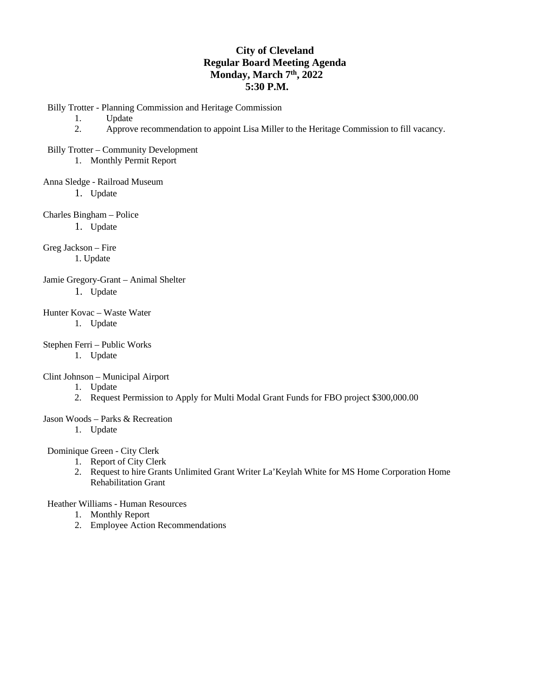### **City of Cleveland Regular Board Meeting Agenda Monday, March 7th, 2022 5:30 P.M.**

Billy Trotter - Planning Commission and Heritage Commission

1. Update

2. Approve recommendation to appoint Lisa Miller to the Heritage Commission to fill vacancy.

Billy Trotter – Community Development

1. Monthly Permit Report

Anna Sledge - Railroad Museum

1. Update

Charles Bingham – Police

1. Update

Greg Jackson – Fire 1. Update

Jamie Gregory-Grant – Animal Shelter 1. Update

Hunter Kovac – Waste Water 1. Update

Stephen Ferri – Public Works

1. Update

Clint Johnson – Municipal Airport

1. Update

2. Request Permission to Apply for Multi Modal Grant Funds for FBO project \$300,000.00

Jason Woods – Parks & Recreation

1. Update

Dominique Green - City Clerk

- 1. Report of City Clerk
- 2. Request to hire Grants Unlimited Grant Writer La'Keylah White for MS Home Corporation Home Rehabilitation Grant

Heather Williams - Human Resources

- 1. Monthly Report
- 2. Employee Action Recommendations